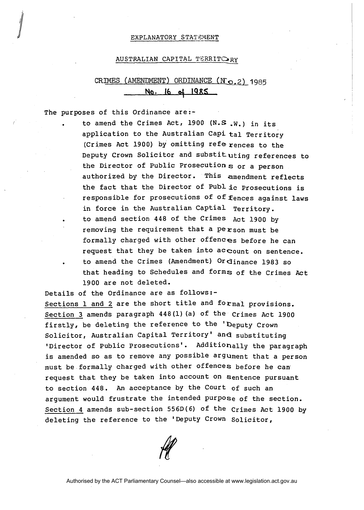## EXPLANATORY STATEMENT

## AUSTRALIAN CAPITAL TERRIT $O_{RY}$

## CRIMES (AMENDMENT) **ORDINANCE** ( **NQ. 2** ) **1** 985 **Na. 16 d IQRS**

The purposes of this Ordinance are:-

to amend the Crimes Act, 1900 (N.S .W.) in its application to the Australian Capi tal Territory (Crimes Act 1900) by omitting references to the Deputy Crown Solicitor and substituting references to the Director of Public Prosecutions or a person authorized by the Director. This amendment reflects the fact that the Director of pub1 ic Prosecutions is responsible for prosecutions of of fences against laws in force in the Australian Captial Territory. to amend section 448 of the Crimes Act 1900 by removing the requirement that a person must be formally charged with other offences before he can request that they be taken into account on sentence. to amend the Crimes (Amendment) Ordinance 1983 so that heading to Schedules and forms of the Crimes Act 1900 are not deleted.

Details of the Ordinance are as follows:- Sections 1 and 2 are the short title and formal provisions. Section 3 amends paragraph 448(1) (a) of the Crimes Act 1900 firstly, be deleting the reference to the 'Deputy Crown Solicitor, Australian Capital Territory' and substituting 'Director of Public Prosecutions'. Additionally the paragraph is amended so as to remove any possible argument that a person must be formally charged with other offences before he can request that they be taken into account on sentence pursuant to section 448. An acceptance by the Court of such an argument would frustrate the intended Purpose of the section. Section 4 amends sub-section **556D(6)** of the Crimes Act 1900 by deleting the reference to the 'Deputy Crown Solicitor,